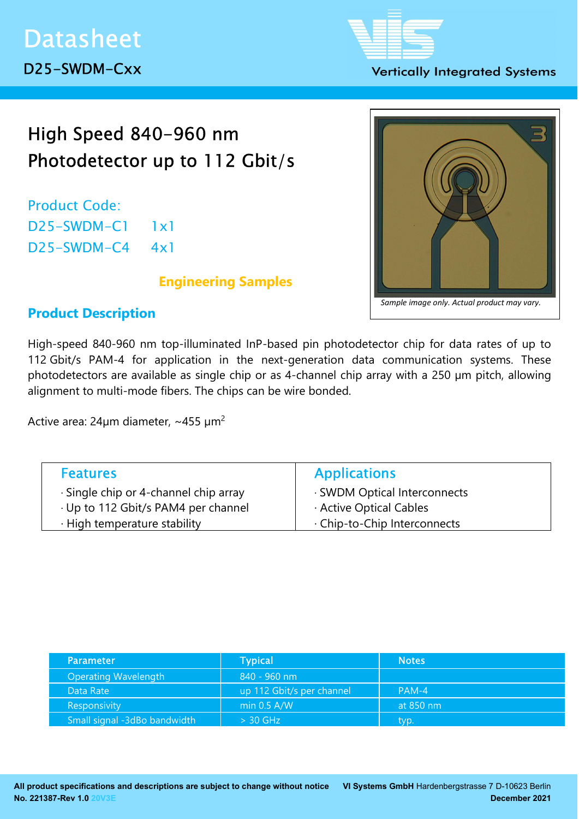## **Vertically Integrated Systems**

# High Speed 840-960 nm Photodetector up to 112 Gbit/s

Product Code: D25-SWDM-C1 1x1 D25-SWDM-C4 4x1

## Engineering Samples



## Product Description

High-speed 840-960 nm top-illuminated InP-based pin photodetector chip for data rates of up to 112 Gbit/s PAM-4 for application in the next-generation data communication systems. These photodetectors are available as single chip or as 4-channel chip array with a 250 µm pitch, allowing alignment to multi-mode fibers. The chips can be wire bonded.

Active area:  $24 \mu m$  diameter,  $\sim$  455  $\mu m^2$ 

| <b>Features</b>                       | <b>Applications</b>          |
|---------------------------------------|------------------------------|
| · Single chip or 4-channel chip array | · SWDM Optical Interconnects |
| · Up to 112 Gbit/s PAM4 per channel   | Active Optical Cables        |
| · High temperature stability          | . Chip-to-Chip Interconnects |
|                                       |                              |

| <b>Parameter</b>             | Typical                   | <b>Notes</b> |
|------------------------------|---------------------------|--------------|
| Operating Wavelength         | 840 - 960 nm              |              |
| Data Rate                    | up 112 Gbit/s per channel | $PAM-4$      |
| Responsivity                 | min $0.5$ A/W             | at 850 nm    |
| Small signal -3dBo bandwidth | $> 30$ GHz                | typ.         |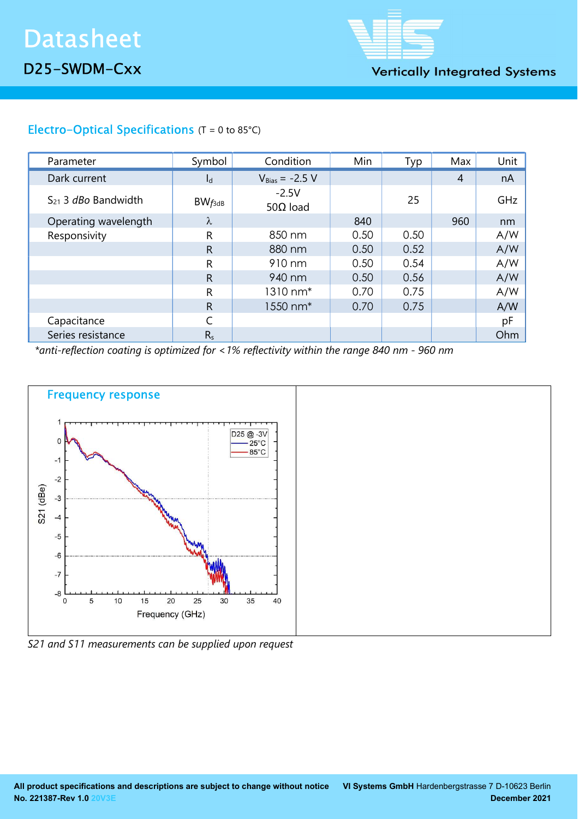

**Vertically Integrated Systems** 

# Electro-Optical Specifications (T = 0 to 85°C)

| Parameter                       | Symbol       | Condition                   | Min  | Typ  | Max            | Unit |
|---------------------------------|--------------|-----------------------------|------|------|----------------|------|
| Dark current                    | $I_d$        | $V_{Bias} = -2.5 V$         |      |      | $\overline{4}$ | nA   |
| $S_{21}$ 3 <i>dBo</i> Bandwidth | $BW_{f3dB}$  | $-2.5V$<br>50 $\Omega$ load |      | 25   |                | GHz  |
| Operating wavelength            | λ            |                             | 840  |      | 960            | nm   |
| Responsivity                    | R            | 850 nm                      | 0.50 | 0.50 |                | A/W  |
|                                 | $\mathsf{R}$ | 880 nm                      | 0.50 | 0.52 |                | A/W  |
|                                 | R            | 910 nm                      | 0.50 | 0.54 |                | A/W  |
|                                 | $\mathsf{R}$ | 940 nm                      | 0.50 | 0.56 |                | A/W  |
|                                 | R            | 1310 nm <sup>*</sup>        | 0.70 | 0.75 |                | A/W  |
|                                 | $\mathsf{R}$ | 1550 nm <sup>*</sup>        | 0.70 | 0.75 |                | A/W  |
| Capacitance                     |              |                             |      |      |                | pF   |
| Series resistance               | $R_s$        |                             |      |      |                | Ohm  |

\*anti-reflection coating is optimized for <1% reflectivity within the range 840 nm - 960 nm



S21 and S11 measurements can be supplied upon request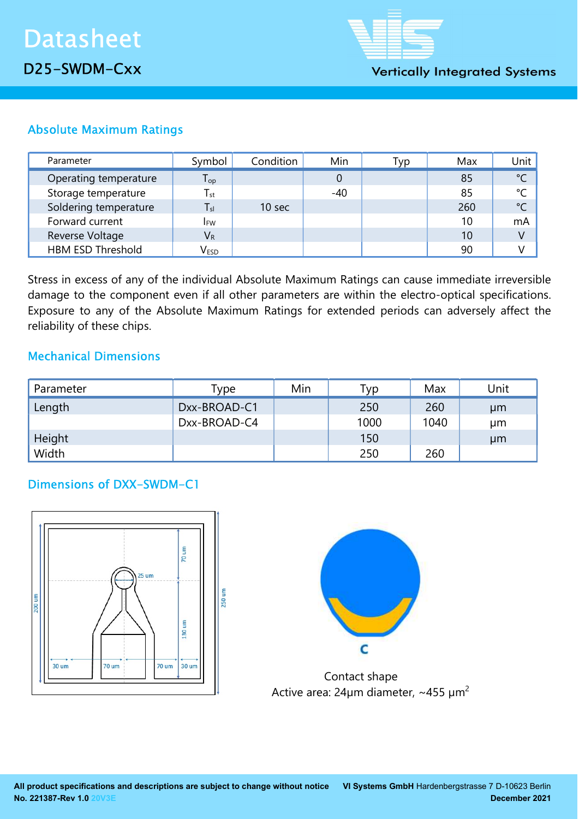

# Absolute Maximum Ratings

| Parameter                | Symbol                      | Condition         | Min   | Typ | Max | Unit          |
|--------------------------|-----------------------------|-------------------|-------|-----|-----|---------------|
| Operating temperature    | ${\mathsf T}_{\textsf{op}}$ |                   |       |     | 85  | $\degree$ C   |
| Storage temperature      | $T_{\rm st}$                |                   | $-40$ |     | 85  | °C            |
| Soldering temperature    | $T_{sl}$                    | 10 <sub>sec</sub> |       |     | 260 | $\mathcal{C}$ |
| Forward current          | <b>IFW</b>                  |                   |       |     | 10  | mA            |
| Reverse Voltage          | $V_{R}$                     |                   |       |     | 10  | V             |
| <b>HBM ESD Threshold</b> | V <sub>ESD</sub>            |                   |       |     | 90  |               |

Stress in excess of any of the individual Absolute Maximum Ratings can cause immediate irreversible damage to the component even if all other parameters are within the electro-optical specifications. Exposure to any of the Absolute Maximum Ratings for extended periods can adversely affect the reliability of these chips.

## Mechanical Dimensions

| Parameter | Type         | Min | Гур  | Max  | Unit |
|-----------|--------------|-----|------|------|------|
| Length    | Dxx-BROAD-C1 |     | 250  | 260  | µm   |
|           | Dxx-BROAD-C4 |     | 1000 | 1040 | μm   |
| Height    |              |     | 150  |      | µm   |
| Width     |              |     | 250  | 260  |      |

## Dimensions of DXX-SWDM-C1





 Contact shape Active area:  $24\mu m$  diameter, ~455  $\mu m^2$